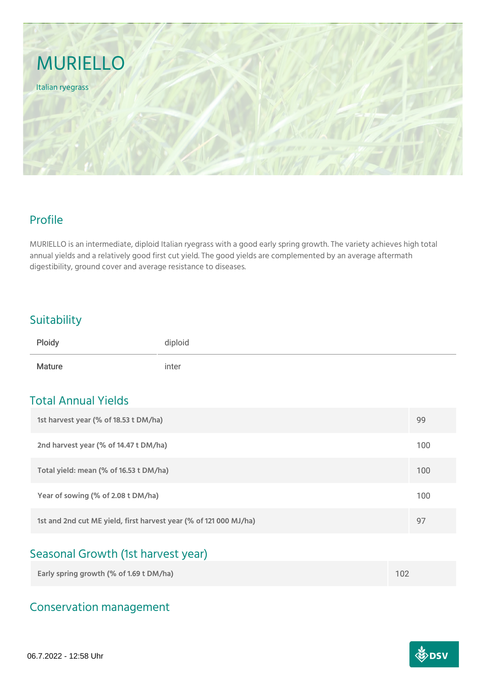

### Profile

MURIELLO is an intermediate, diploid Italian ryegrass with a good early spring growth. The variety achieves high total annual yields and a relatively good first cut yield. The good yields are complemented by an average aftermath digestibility, ground cover and average resistance to diseases.

#### **Suitability**

| Ploidy        | diploid |
|---------------|---------|
| <b>Mature</b> | inter   |

### Total Annual Yields

| 1st harvest year (% of 18.53 t DM/ha)                             | 99  |
|-------------------------------------------------------------------|-----|
| 2nd harvest year (% of 14.47 t DM/ha)                             | 100 |
| Total yield: mean (% of 16.53 t DM/ha)                            | 100 |
| Year of sowing (% of 2.08 t DM/ha)                                | 100 |
| 1st and 2nd cut ME yield, first harvest year (% of 121 000 MJ/ha) | 97  |

# Seasonal Growth (1st harvest year)

| Early spring growth (% of 1.69 t DM/ha) |  |
|-----------------------------------------|--|
|                                         |  |

# Conservation management